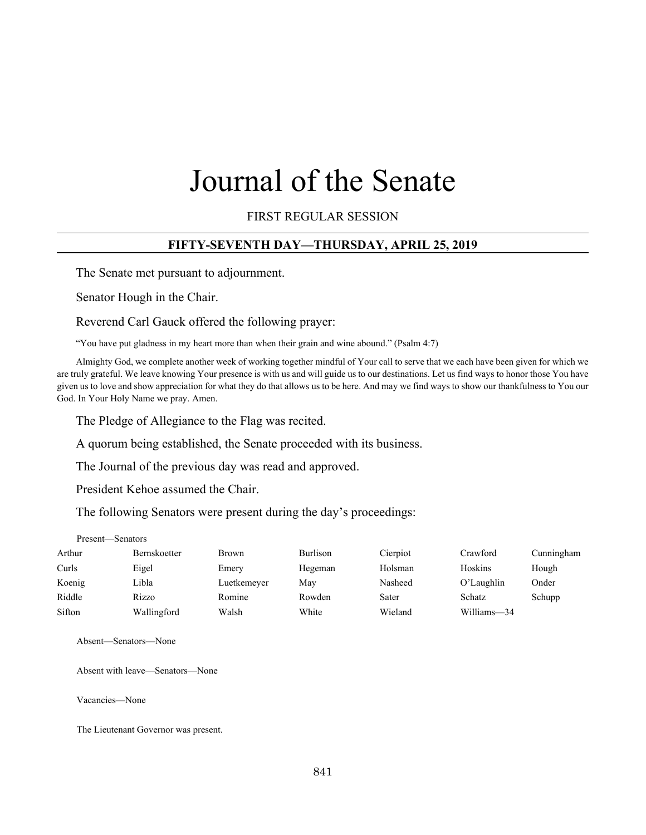# Journal of the Senate

FIRST REGULAR SESSION

# **FIFTY-SEVENTH DAY—THURSDAY, APRIL 25, 2019**

The Senate met pursuant to adjournment.

Senator Hough in the Chair.

Reverend Carl Gauck offered the following prayer:

"You have put gladness in my heart more than when their grain and wine abound." (Psalm 4:7)

Almighty God, we complete another week of working together mindful of Your call to serve that we each have been given for which we are truly grateful. We leave knowing Your presence is with us and will guide us to our destinations. Let us find ways to honor those You have given us to love and show appreciation for what they do that allows us to be here. And may we find ways to show our thankfulness to You our God. In Your Holy Name we pray. Amen.

The Pledge of Allegiance to the Flag was recited.

A quorum being established, the Senate proceeded with its business.

The Journal of the previous day was read and approved.

President Kehoe assumed the Chair.

The following Senators were present during the day's proceedings:

#### Present—Senators

| Arthur | Bernskoetter | <b>Brown</b> | <b>Burlison</b> | Cierpiot | Crawford    | Cunningham |
|--------|--------------|--------------|-----------------|----------|-------------|------------|
| Curls  | Eigel        | Emery        | Hegeman         | Holsman  | Hoskins     | Hough      |
| Koenig | Libla        | Luetkemeyer  | May             | Nasheed  | O'Laughlin  | Onder      |
| Riddle | Rizzo        | Romine       | Rowden          | Sater    | Schatz      | Schupp     |
| Sifton | Wallingford  | Walsh        | White           | Wieland  | Williams-34 |            |

Absent—Senators—None

Absent with leave—Senators—None

Vacancies—None

The Lieutenant Governor was present.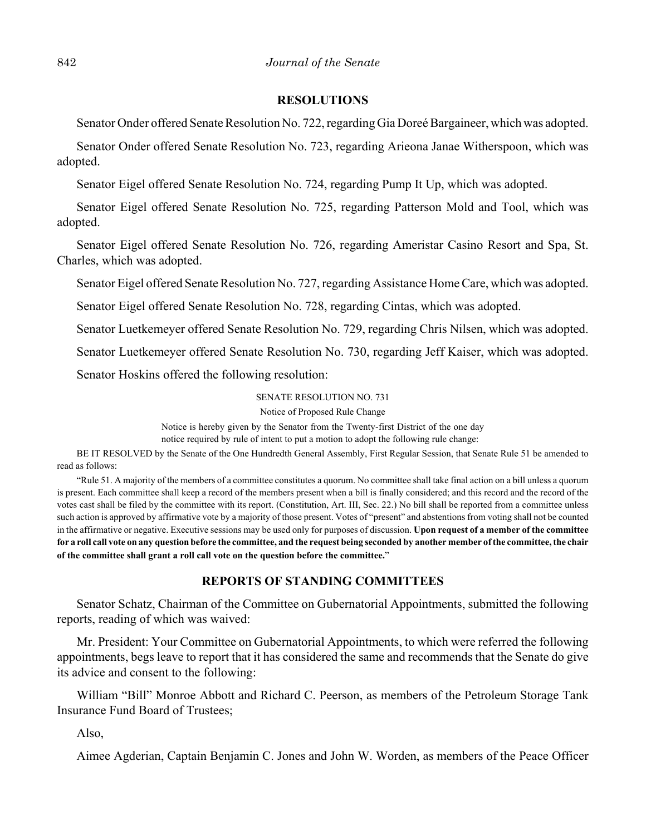#### **RESOLUTIONS**

Senator Onder offered Senate Resolution No. 722, regarding Gia Doreé Bargaineer, which was adopted.

Senator Onder offered Senate Resolution No. 723, regarding Arieona Janae Witherspoon, which was adopted.

Senator Eigel offered Senate Resolution No. 724, regarding Pump It Up, which was adopted.

Senator Eigel offered Senate Resolution No. 725, regarding Patterson Mold and Tool, which was adopted.

Senator Eigel offered Senate Resolution No. 726, regarding Ameristar Casino Resort and Spa, St. Charles, which was adopted.

Senator Eigel offered Senate Resolution No. 727, regarding Assistance Home Care, which was adopted.

Senator Eigel offered Senate Resolution No. 728, regarding Cintas, which was adopted.

Senator Luetkemeyer offered Senate Resolution No. 729, regarding Chris Nilsen, which was adopted.

Senator Luetkemeyer offered Senate Resolution No. 730, regarding Jeff Kaiser, which was adopted.

Senator Hoskins offered the following resolution:

SENATE RESOLUTION NO. 731

Notice of Proposed Rule Change

Notice is hereby given by the Senator from the Twenty-first District of the one day

notice required by rule of intent to put a motion to adopt the following rule change:

BE IT RESOLVED by the Senate of the One Hundredth General Assembly, First Regular Session, that Senate Rule 51 be amended to read as follows:

"Rule 51. A majority of the members of a committee constitutes a quorum. No committee shall take final action on a bill unless a quorum is present. Each committee shall keep a record of the members present when a bill is finally considered; and this record and the record of the votes cast shall be filed by the committee with its report. (Constitution, Art. III, Sec. 22.) No bill shall be reported from a committee unless such action is approved by affirmative vote by a majority of those present. Votes of "present" and abstentions from voting shall not be counted in the affirmative or negative. Executive sessions may be used only for purposes of discussion. **Upon request of a member of the committee for a roll call vote on any question before the committee, and the request being seconded by another member of the committee, the chair of the committee shall grant a roll call vote on the question before the committee.**"

#### **REPORTS OF STANDING COMMITTEES**

Senator Schatz, Chairman of the Committee on Gubernatorial Appointments, submitted the following reports, reading of which was waived:

Mr. President: Your Committee on Gubernatorial Appointments, to which were referred the following appointments, begs leave to report that it has considered the same and recommends that the Senate do give its advice and consent to the following:

William "Bill" Monroe Abbott and Richard C. Peerson, as members of the Petroleum Storage Tank Insurance Fund Board of Trustees;

Also,

Aimee Agderian, Captain Benjamin C. Jones and John W. Worden, as members of the Peace Officer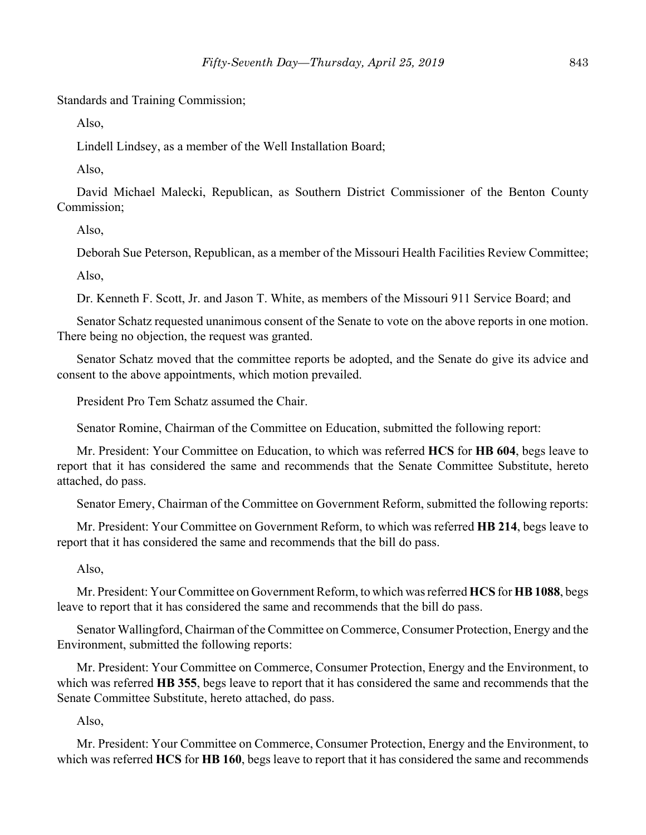Standards and Training Commission;

Also,

Lindell Lindsey, as a member of the Well Installation Board;

Also,

David Michael Malecki, Republican, as Southern District Commissioner of the Benton County Commission;

Also,

Deborah Sue Peterson, Republican, as a member of the Missouri Health Facilities Review Committee;

Also,

Dr. Kenneth F. Scott, Jr. and Jason T. White, as members of the Missouri 911 Service Board; and

Senator Schatz requested unanimous consent of the Senate to vote on the above reports in one motion. There being no objection, the request was granted.

Senator Schatz moved that the committee reports be adopted, and the Senate do give its advice and consent to the above appointments, which motion prevailed.

President Pro Tem Schatz assumed the Chair.

Senator Romine, Chairman of the Committee on Education, submitted the following report:

Mr. President: Your Committee on Education, to which was referred **HCS** for **HB 604**, begs leave to report that it has considered the same and recommends that the Senate Committee Substitute, hereto attached, do pass.

Senator Emery, Chairman of the Committee on Government Reform, submitted the following reports:

Mr. President: Your Committee on Government Reform, to which was referred **HB 214**, begs leave to report that it has considered the same and recommends that the bill do pass.

Also,

Mr. President: Your Committee on Government Reform, to which was referred **HCS** for **HB 1088**, begs leave to report that it has considered the same and recommends that the bill do pass.

Senator Wallingford, Chairman of the Committee on Commerce, Consumer Protection, Energy and the Environment, submitted the following reports:

Mr. President: Your Committee on Commerce, Consumer Protection, Energy and the Environment, to which was referred **HB 355**, begs leave to report that it has considered the same and recommends that the Senate Committee Substitute, hereto attached, do pass.

Also,

Mr. President: Your Committee on Commerce, Consumer Protection, Energy and the Environment, to which was referred **HCS** for **HB 160**, begs leave to report that it has considered the same and recommends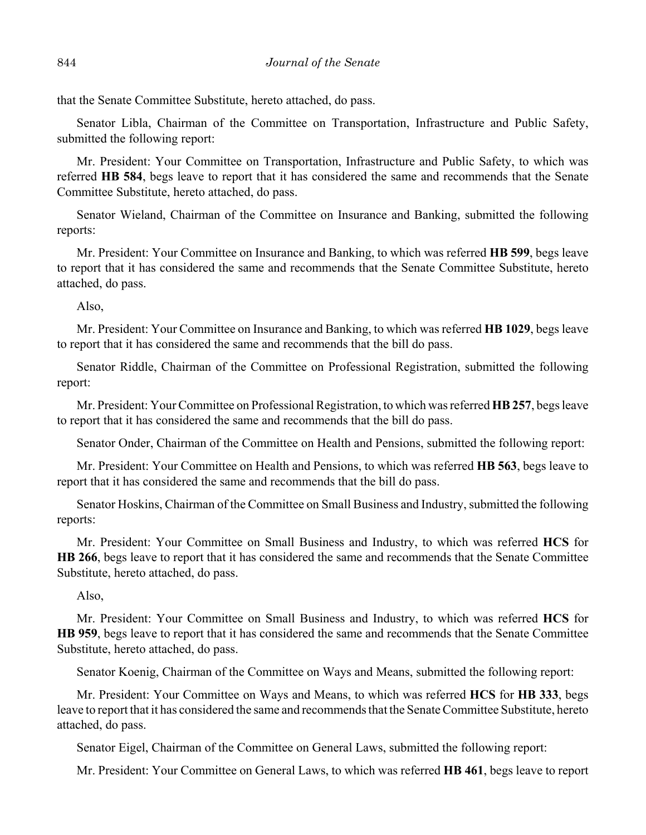that the Senate Committee Substitute, hereto attached, do pass.

Senator Libla, Chairman of the Committee on Transportation, Infrastructure and Public Safety, submitted the following report:

Mr. President: Your Committee on Transportation, Infrastructure and Public Safety, to which was referred **HB 584**, begs leave to report that it has considered the same and recommends that the Senate Committee Substitute, hereto attached, do pass.

Senator Wieland, Chairman of the Committee on Insurance and Banking, submitted the following reports:

Mr. President: Your Committee on Insurance and Banking, to which was referred **HB 599**, begs leave to report that it has considered the same and recommends that the Senate Committee Substitute, hereto attached, do pass.

Also,

Mr. President: Your Committee on Insurance and Banking, to which was referred **HB 1029**, begs leave to report that it has considered the same and recommends that the bill do pass.

Senator Riddle, Chairman of the Committee on Professional Registration, submitted the following report:

Mr. President: Your Committee on Professional Registration, to which was referred **HB 257**, begs leave to report that it has considered the same and recommends that the bill do pass.

Senator Onder, Chairman of the Committee on Health and Pensions, submitted the following report:

Mr. President: Your Committee on Health and Pensions, to which was referred **HB 563**, begs leave to report that it has considered the same and recommends that the bill do pass.

Senator Hoskins, Chairman of the Committee on Small Business and Industry, submitted the following reports:

Mr. President: Your Committee on Small Business and Industry, to which was referred **HCS** for **HB 266**, begs leave to report that it has considered the same and recommends that the Senate Committee Substitute, hereto attached, do pass.

## Also,

Mr. President: Your Committee on Small Business and Industry, to which was referred **HCS** for **HB 959**, begs leave to report that it has considered the same and recommends that the Senate Committee Substitute, hereto attached, do pass.

Senator Koenig, Chairman of the Committee on Ways and Means, submitted the following report:

Mr. President: Your Committee on Ways and Means, to which was referred **HCS** for **HB 333**, begs leave to report that it has considered the same and recommends that the Senate Committee Substitute, hereto attached, do pass.

Senator Eigel, Chairman of the Committee on General Laws, submitted the following report:

Mr. President: Your Committee on General Laws, to which was referred **HB 461**, begs leave to report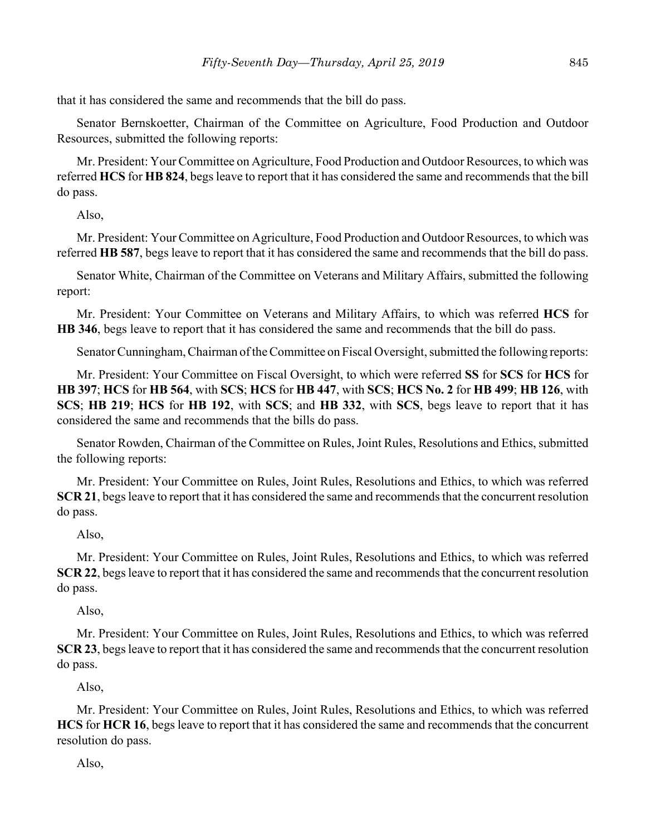that it has considered the same and recommends that the bill do pass.

Senator Bernskoetter, Chairman of the Committee on Agriculture, Food Production and Outdoor Resources, submitted the following reports:

Mr. President: Your Committee on Agriculture, Food Production and Outdoor Resources, to which was referred **HCS** for **HB 824**, begs leave to report that it has considered the same and recommends that the bill do pass.

Also,

Mr. President: Your Committee on Agriculture, Food Production and Outdoor Resources, to which was referred **HB 587**, begs leave to report that it has considered the same and recommends that the bill do pass.

Senator White, Chairman of the Committee on Veterans and Military Affairs, submitted the following report:

Mr. President: Your Committee on Veterans and Military Affairs, to which was referred **HCS** for **HB 346**, begs leave to report that it has considered the same and recommends that the bill do pass.

Senator Cunningham, Chairman of the Committee on Fiscal Oversight, submitted the following reports:

Mr. President: Your Committee on Fiscal Oversight, to which were referred **SS** for **SCS** for **HCS** for **HB 397**; **HCS** for **HB 564**, with **SCS**; **HCS** for **HB 447**, with **SCS**; **HCS No. 2** for **HB 499**; **HB 126**, with **SCS**; **HB 219**; **HCS** for **HB 192**, with **SCS**; and **HB 332**, with **SCS**, begs leave to report that it has considered the same and recommends that the bills do pass.

Senator Rowden, Chairman of the Committee on Rules, Joint Rules, Resolutions and Ethics, submitted the following reports:

Mr. President: Your Committee on Rules, Joint Rules, Resolutions and Ethics, to which was referred **SCR 21**, begs leave to report that it has considered the same and recommends that the concurrent resolution do pass.

Also,

Mr. President: Your Committee on Rules, Joint Rules, Resolutions and Ethics, to which was referred **SCR 22**, begs leave to report that it has considered the same and recommends that the concurrent resolution do pass.

Also,

Mr. President: Your Committee on Rules, Joint Rules, Resolutions and Ethics, to which was referred **SCR 23**, begs leave to report that it has considered the same and recommends that the concurrent resolution do pass.

Also,

Mr. President: Your Committee on Rules, Joint Rules, Resolutions and Ethics, to which was referred **HCS** for **HCR 16**, begs leave to report that it has considered the same and recommends that the concurrent resolution do pass.

Also,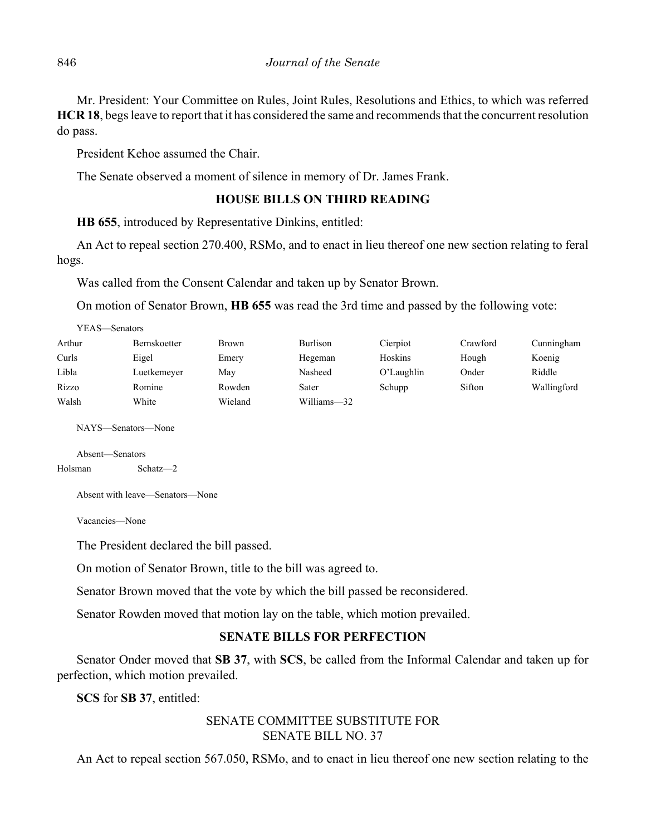Mr. President: Your Committee on Rules, Joint Rules, Resolutions and Ethics, to which was referred **HCR 18**, begs leave to report that it has considered the same and recommends that the concurrent resolution do pass.

President Kehoe assumed the Chair.

The Senate observed a moment of silence in memory of Dr. James Frank.

## **HOUSE BILLS ON THIRD READING**

**HB 655**, introduced by Representative Dinkins, entitled:

An Act to repeal section 270.400, RSMo, and to enact in lieu thereof one new section relating to feral hogs.

Was called from the Consent Calendar and taken up by Senator Brown.

On motion of Senator Brown, **HB 655** was read the 3rd time and passed by the following vote:

| YEAS—Senators |                     |         |                 |               |          |             |  |  |  |
|---------------|---------------------|---------|-----------------|---------------|----------|-------------|--|--|--|
| Arthur        | <b>Bernskoetter</b> | Brown   | <b>Burlison</b> | Cierpiot      | Crawford | Cunningham  |  |  |  |
| Curls         | Eigel               | Emery   | Hegeman         | Hoskins       | Hough    | Koenig      |  |  |  |
| Libla         | Luetkemeyer         | May     | Nasheed         | $O'$ Laughlin | Onder    | Riddle      |  |  |  |
| Rizzo         | Romine              | Rowden  | Sater           | Schupp        | Sifton   | Wallingford |  |  |  |
| Walsh         | White               | Wieland | Williams-32     |               |          |             |  |  |  |

NAYS—Senators—None

Absent—Senators Holsman Schatz—2

Absent with leave—Senators—None

Vacancies—None

The President declared the bill passed.

On motion of Senator Brown, title to the bill was agreed to.

Senator Brown moved that the vote by which the bill passed be reconsidered.

Senator Rowden moved that motion lay on the table, which motion prevailed.

## **SENATE BILLS FOR PERFECTION**

Senator Onder moved that **SB 37**, with **SCS**, be called from the Informal Calendar and taken up for perfection, which motion prevailed.

**SCS** for **SB 37**, entitled:

# SENATE COMMITTEE SUBSTITUTE FOR SENATE BILL NO. 37

An Act to repeal section 567.050, RSMo, and to enact in lieu thereof one new section relating to the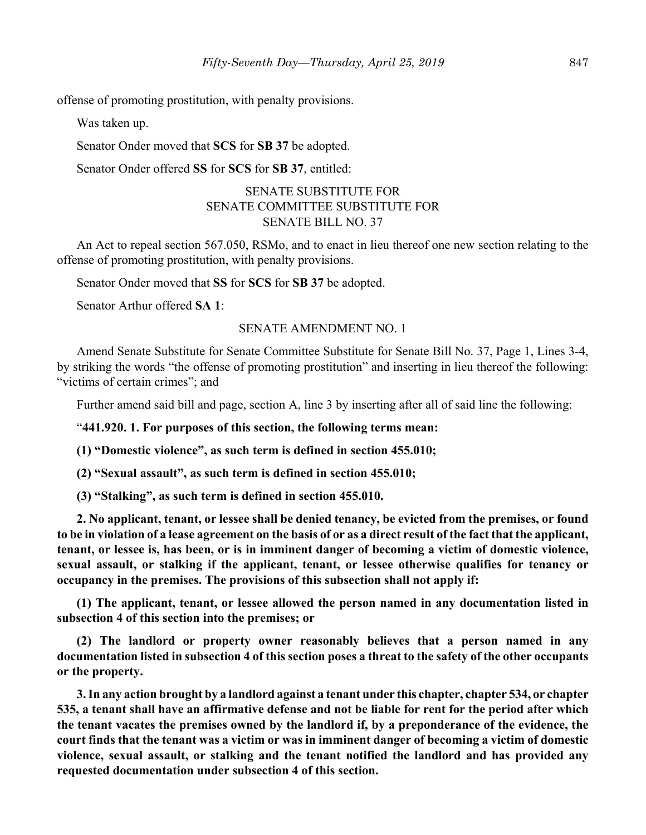offense of promoting prostitution, with penalty provisions.

Was taken up.

Senator Onder moved that **SCS** for **SB 37** be adopted.

Senator Onder offered **SS** for **SCS** for **SB 37**, entitled:

## SENATE SUBSTITUTE FOR SENATE COMMITTEE SUBSTITUTE FOR SENATE BILL NO. 37

An Act to repeal section 567.050, RSMo, and to enact in lieu thereof one new section relating to the offense of promoting prostitution, with penalty provisions.

Senator Onder moved that **SS** for **SCS** for **SB 37** be adopted.

Senator Arthur offered **SA 1**:

#### SENATE AMENDMENT NO. 1

Amend Senate Substitute for Senate Committee Substitute for Senate Bill No. 37, Page 1, Lines 3-4, by striking the words "the offense of promoting prostitution" and inserting in lieu thereof the following: "victims of certain crimes"; and

Further amend said bill and page, section A, line 3 by inserting after all of said line the following:

"**441.920. 1. For purposes of this section, the following terms mean:**

**(1) "Domestic violence", as such term is defined in section 455.010;**

**(2) "Sexual assault", as such term is defined in section 455.010;**

**(3) "Stalking", as such term is defined in section 455.010.**

**2. No applicant, tenant, or lessee shall be denied tenancy, be evicted from the premises, or found to be in violation of a lease agreement on the basis of or as a direct result of the fact that the applicant, tenant, or lessee is, has been, or is in imminent danger of becoming a victim of domestic violence, sexual assault, or stalking if the applicant, tenant, or lessee otherwise qualifies for tenancy or occupancy in the premises. The provisions of this subsection shall not apply if:**

**(1) The applicant, tenant, or lessee allowed the person named in any documentation listed in subsection 4 of this section into the premises; or**

**(2) The landlord or property owner reasonably believes that a person named in any documentation listed in subsection 4 of this section poses a threat to the safety of the other occupants or the property.**

**3. In any action brought by a landlord against a tenant under this chapter, chapter 534, or chapter 535, a tenant shall have an affirmative defense and not be liable for rent for the period after which the tenant vacates the premises owned by the landlord if, by a preponderance of the evidence, the court finds that the tenant was a victim or was in imminent danger of becoming a victim of domestic violence, sexual assault, or stalking and the tenant notified the landlord and has provided any requested documentation under subsection 4 of this section.**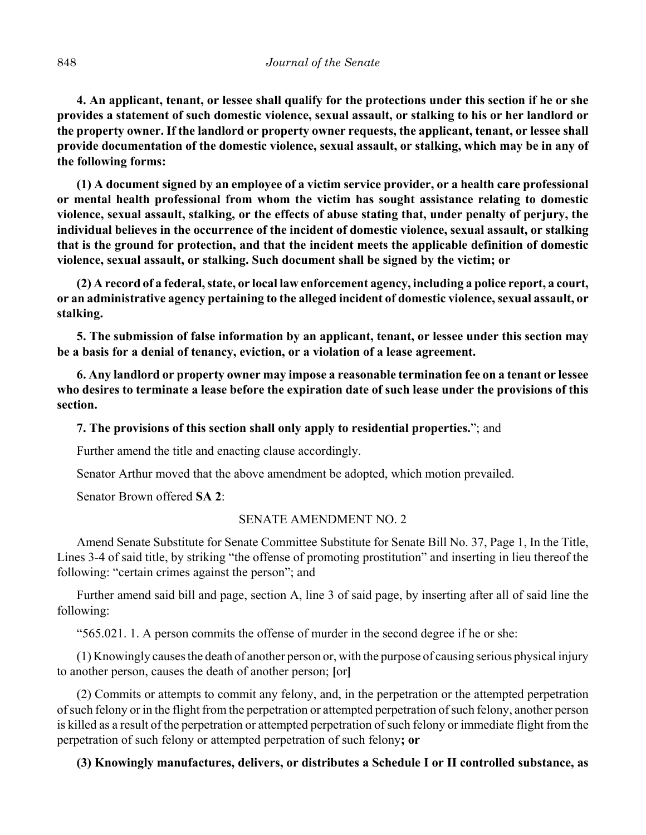**4. An applicant, tenant, or lessee shall qualify for the protections under this section if he or she provides a statement of such domestic violence, sexual assault, or stalking to his or her landlord or the property owner. If the landlord or property owner requests, the applicant, tenant, or lessee shall provide documentation of the domestic violence, sexual assault, or stalking, which may be in any of the following forms:**

**(1) A document signed by an employee of a victim service provider, or a health care professional or mental health professional from whom the victim has sought assistance relating to domestic violence, sexual assault, stalking, or the effects of abuse stating that, under penalty of perjury, the individual believes in the occurrence of the incident of domestic violence, sexual assault, or stalking that is the ground for protection, and that the incident meets the applicable definition of domestic violence, sexual assault, or stalking. Such document shall be signed by the victim; or**

**(2) A record of a federal, state, or local law enforcement agency, including a police report, a court, or an administrative agency pertaining to the alleged incident of domestic violence, sexual assault, or stalking.**

**5. The submission of false information by an applicant, tenant, or lessee under this section may be a basis for a denial of tenancy, eviction, or a violation of a lease agreement.**

**6. Any landlord or property owner may impose a reasonable termination fee on a tenant or lessee who desires to terminate a lease before the expiration date of such lease under the provisions of this section.**

**7. The provisions of this section shall only apply to residential properties.**"; and

Further amend the title and enacting clause accordingly.

Senator Arthur moved that the above amendment be adopted, which motion prevailed.

Senator Brown offered **SA 2**:

#### SENATE AMENDMENT NO. 2

Amend Senate Substitute for Senate Committee Substitute for Senate Bill No. 37, Page 1, In the Title, Lines 3-4 of said title, by striking "the offense of promoting prostitution" and inserting in lieu thereof the following: "certain crimes against the person"; and

Further amend said bill and page, section A, line 3 of said page, by inserting after all of said line the following:

"565.021. 1. A person commits the offense of murder in the second degree if he or she:

(1) Knowingly causes the death of another person or, with the purpose of causing serious physical injury to another person, causes the death of another person; **[**or**]**

(2) Commits or attempts to commit any felony, and, in the perpetration or the attempted perpetration of such felony or in the flight from the perpetration or attempted perpetration of such felony, another person is killed as a result of the perpetration or attempted perpetration of such felony or immediate flight from the perpetration of such felony or attempted perpetration of such felony**; or**

## **(3) Knowingly manufactures, delivers, or distributes a Schedule I or II controlled substance, as**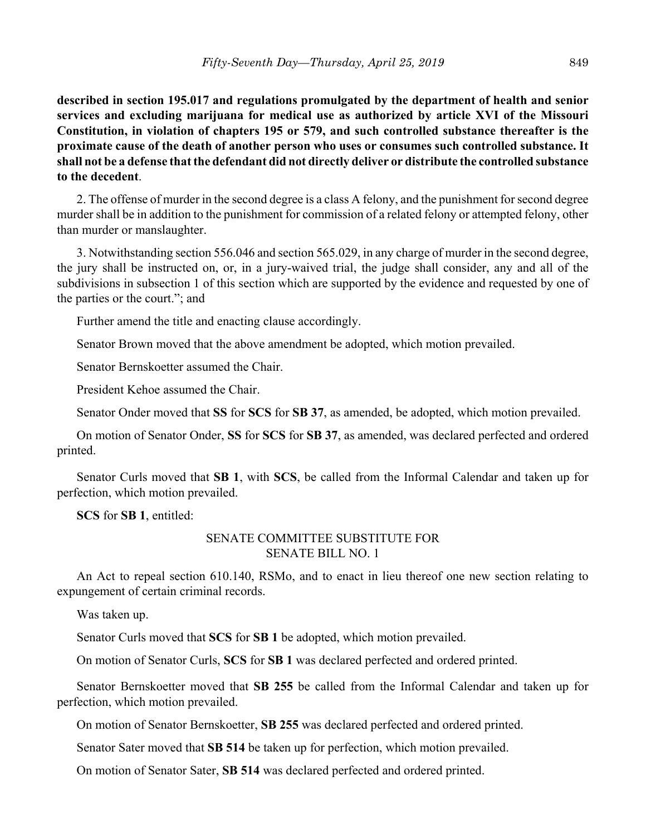**described in section 195.017 and regulations promulgated by the department of health and senior services and excluding marijuana for medical use as authorized by article XVI of the Missouri Constitution, in violation of chapters 195 or 579, and such controlled substance thereafter is the proximate cause of the death of another person who uses or consumes such controlled substance. It shall not be a defense that the defendant did not directly deliver or distribute the controlled substance to the decedent**.

2. The offense of murder in the second degree is a class A felony, and the punishment for second degree murder shall be in addition to the punishment for commission of a related felony or attempted felony, other than murder or manslaughter.

3. Notwithstanding section 556.046 and section 565.029, in any charge of murder in the second degree, the jury shall be instructed on, or, in a jury-waived trial, the judge shall consider, any and all of the subdivisions in subsection 1 of this section which are supported by the evidence and requested by one of the parties or the court."; and

Further amend the title and enacting clause accordingly.

Senator Brown moved that the above amendment be adopted, which motion prevailed.

Senator Bernskoetter assumed the Chair.

President Kehoe assumed the Chair.

Senator Onder moved that **SS** for **SCS** for **SB 37**, as amended, be adopted, which motion prevailed.

On motion of Senator Onder, **SS** for **SCS** for **SB 37**, as amended, was declared perfected and ordered printed.

Senator Curls moved that **SB 1**, with **SCS**, be called from the Informal Calendar and taken up for perfection, which motion prevailed.

**SCS** for **SB 1**, entitled:

## SENATE COMMITTEE SUBSTITUTE FOR SENATE BILL NO. 1

An Act to repeal section 610.140, RSMo, and to enact in lieu thereof one new section relating to expungement of certain criminal records.

Was taken up.

Senator Curls moved that **SCS** for **SB 1** be adopted, which motion prevailed.

On motion of Senator Curls, **SCS** for **SB 1** was declared perfected and ordered printed.

Senator Bernskoetter moved that **SB 255** be called from the Informal Calendar and taken up for perfection, which motion prevailed.

On motion of Senator Bernskoetter, **SB 255** was declared perfected and ordered printed.

Senator Sater moved that **SB 514** be taken up for perfection, which motion prevailed.

On motion of Senator Sater, **SB 514** was declared perfected and ordered printed.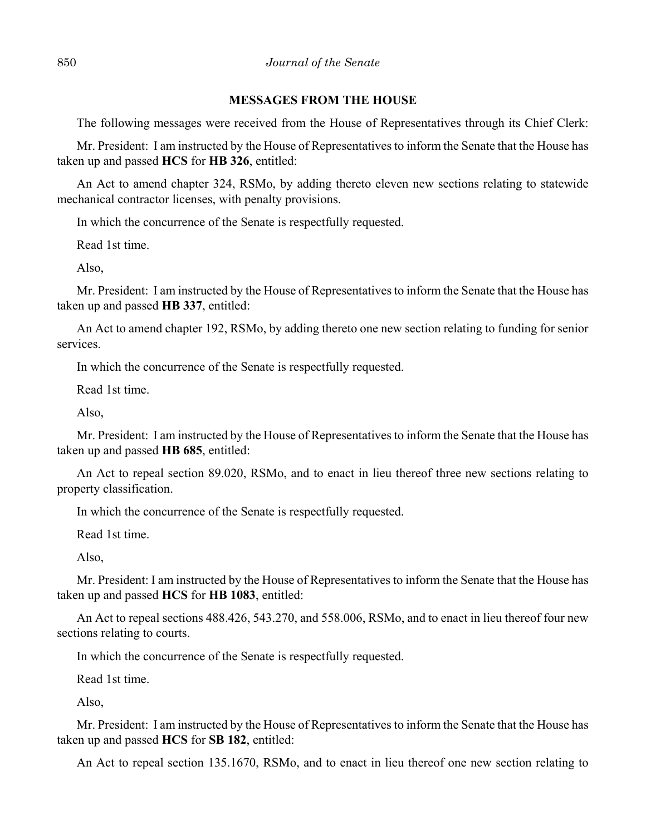#### **MESSAGES FROM THE HOUSE**

The following messages were received from the House of Representatives through its Chief Clerk:

Mr. President: I am instructed by the House of Representatives to inform the Senate that the House has taken up and passed **HCS** for **HB 326**, entitled:

An Act to amend chapter 324, RSMo, by adding thereto eleven new sections relating to statewide mechanical contractor licenses, with penalty provisions.

In which the concurrence of the Senate is respectfully requested.

Read 1st time.

Also,

Mr. President: I am instructed by the House of Representatives to inform the Senate that the House has taken up and passed **HB 337**, entitled:

An Act to amend chapter 192, RSMo, by adding thereto one new section relating to funding for senior services.

In which the concurrence of the Senate is respectfully requested.

Read 1st time.

Also,

Mr. President: I am instructed by the House of Representatives to inform the Senate that the House has taken up and passed **HB 685**, entitled:

An Act to repeal section 89.020, RSMo, and to enact in lieu thereof three new sections relating to property classification.

In which the concurrence of the Senate is respectfully requested.

Read 1st time.

Also,

Mr. President: I am instructed by the House of Representatives to inform the Senate that the House has taken up and passed **HCS** for **HB 1083**, entitled:

An Act to repeal sections 488.426, 543.270, and 558.006, RSMo, and to enact in lieu thereof four new sections relating to courts.

In which the concurrence of the Senate is respectfully requested.

Read 1st time.

Also,

Mr. President: I am instructed by the House of Representatives to inform the Senate that the House has taken up and passed **HCS** for **SB 182**, entitled:

An Act to repeal section 135.1670, RSMo, and to enact in lieu thereof one new section relating to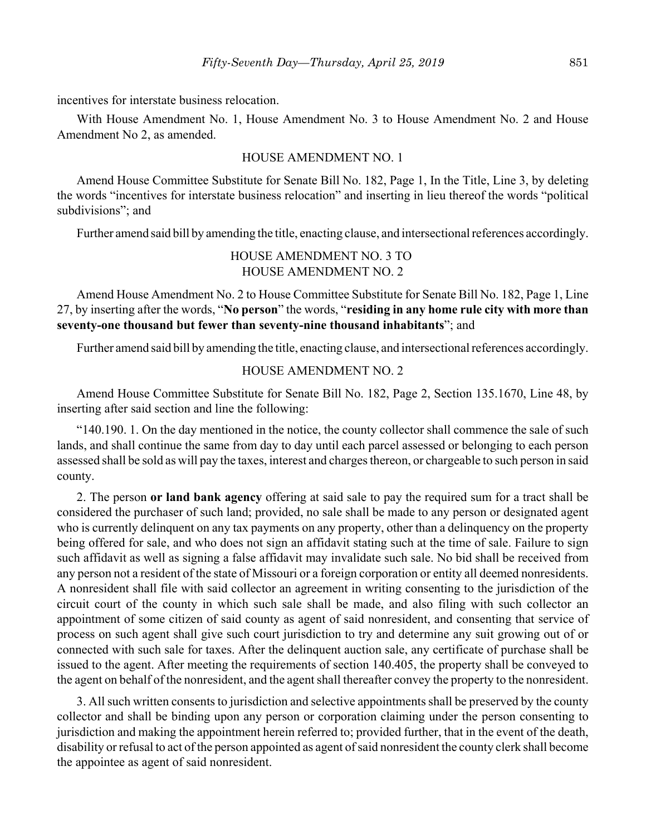incentives for interstate business relocation.

With House Amendment No. 1, House Amendment No. 3 to House Amendment No. 2 and House Amendment No 2, as amended.

#### HOUSE AMENDMENT NO. 1

Amend House Committee Substitute for Senate Bill No. 182, Page 1, In the Title, Line 3, by deleting the words "incentives for interstate business relocation" and inserting in lieu thereof the words "political subdivisions"; and

Further amend said bill by amending the title, enacting clause, and intersectional references accordingly.

## HOUSE AMENDMENT NO. 3 TO HOUSE AMENDMENT NO. 2

Amend House Amendment No. 2 to House Committee Substitute for Senate Bill No. 182, Page 1, Line 27, by inserting after the words, "**No person**" the words, "**residing in any home rule city with more than seventy-one thousand but fewer than seventy-nine thousand inhabitants**"; and

Further amend said bill by amending the title, enacting clause, and intersectional references accordingly.

## HOUSE AMENDMENT NO. 2

Amend House Committee Substitute for Senate Bill No. 182, Page 2, Section 135.1670, Line 48, by inserting after said section and line the following:

"140.190. 1. On the day mentioned in the notice, the county collector shall commence the sale of such lands, and shall continue the same from day to day until each parcel assessed or belonging to each person assessed shall be sold as will pay the taxes, interest and charges thereon, or chargeable to such person in said county.

2. The person **or land bank agency** offering at said sale to pay the required sum for a tract shall be considered the purchaser of such land; provided, no sale shall be made to any person or designated agent who is currently delinquent on any tax payments on any property, other than a delinquency on the property being offered for sale, and who does not sign an affidavit stating such at the time of sale. Failure to sign such affidavit as well as signing a false affidavit may invalidate such sale. No bid shall be received from any person not a resident of the state of Missouri or a foreign corporation or entity all deemed nonresidents. A nonresident shall file with said collector an agreement in writing consenting to the jurisdiction of the circuit court of the county in which such sale shall be made, and also filing with such collector an appointment of some citizen of said county as agent of said nonresident, and consenting that service of process on such agent shall give such court jurisdiction to try and determine any suit growing out of or connected with such sale for taxes. After the delinquent auction sale, any certificate of purchase shall be issued to the agent. After meeting the requirements of section 140.405, the property shall be conveyed to the agent on behalf of the nonresident, and the agent shall thereafter convey the property to the nonresident.

3. All such written consents to jurisdiction and selective appointments shall be preserved by the county collector and shall be binding upon any person or corporation claiming under the person consenting to jurisdiction and making the appointment herein referred to; provided further, that in the event of the death, disability or refusal to act of the person appointed as agent of said nonresident the county clerk shall become the appointee as agent of said nonresident.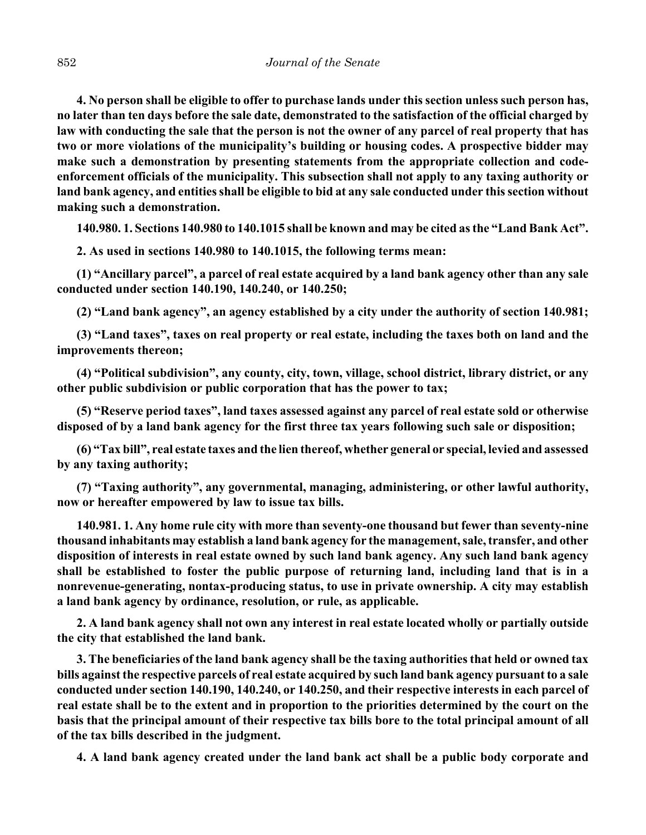**4. No person shall be eligible to offer to purchase lands under this section unless such person has, no later than ten days before the sale date, demonstrated to the satisfaction of the official charged by law with conducting the sale that the person is not the owner of any parcel of real property that has two or more violations of the municipality's building or housing codes. A prospective bidder may make such a demonstration by presenting statements from the appropriate collection and codeenforcement officials of the municipality. This subsection shall not apply to any taxing authority or land bank agency, and entities shall be eligible to bid at any sale conducted under this section without making such a demonstration.**

**140.980. 1. Sections 140.980 to 140.1015 shall be known and may be cited as the "Land Bank Act".**

**2. As used in sections 140.980 to 140.1015, the following terms mean:**

**(1) "Ancillary parcel", a parcel of real estate acquired by a land bank agency other than any sale conducted under section 140.190, 140.240, or 140.250;**

**(2) "Land bank agency", an agency established by a city under the authority of section 140.981;**

**(3) "Land taxes", taxes on real property or real estate, including the taxes both on land and the improvements thereon;**

**(4) "Political subdivision", any county, city, town, village, school district, library district, or any other public subdivision or public corporation that has the power to tax;**

**(5) "Reserve period taxes", land taxes assessed against any parcel of real estate sold or otherwise disposed of by a land bank agency for the first three tax years following such sale or disposition;**

**(6) "Tax bill", real estate taxes and the lien thereof, whether general or special, levied and assessed by any taxing authority;**

**(7) "Taxing authority", any governmental, managing, administering, or other lawful authority, now or hereafter empowered by law to issue tax bills.**

**140.981. 1. Any home rule city with more than seventy-one thousand but fewer than seventy-nine thousand inhabitants may establish a land bank agency for the management, sale, transfer, and other disposition of interests in real estate owned by such land bank agency. Any such land bank agency shall be established to foster the public purpose of returning land, including land that is in a nonrevenue-generating, nontax-producing status, to use in private ownership. A city may establish a land bank agency by ordinance, resolution, or rule, as applicable.**

**2. A land bank agency shall not own any interest in real estate located wholly or partially outside the city that established the land bank.**

**3. The beneficiaries of the land bank agency shall be the taxing authorities that held or owned tax bills against the respective parcels of real estate acquired by such land bank agency pursuant to a sale conducted under section 140.190, 140.240, or 140.250, and their respective interests in each parcel of real estate shall be to the extent and in proportion to the priorities determined by the court on the basis that the principal amount of their respective tax bills bore to the total principal amount of all of the tax bills described in the judgment.**

**4. A land bank agency created under the land bank act shall be a public body corporate and**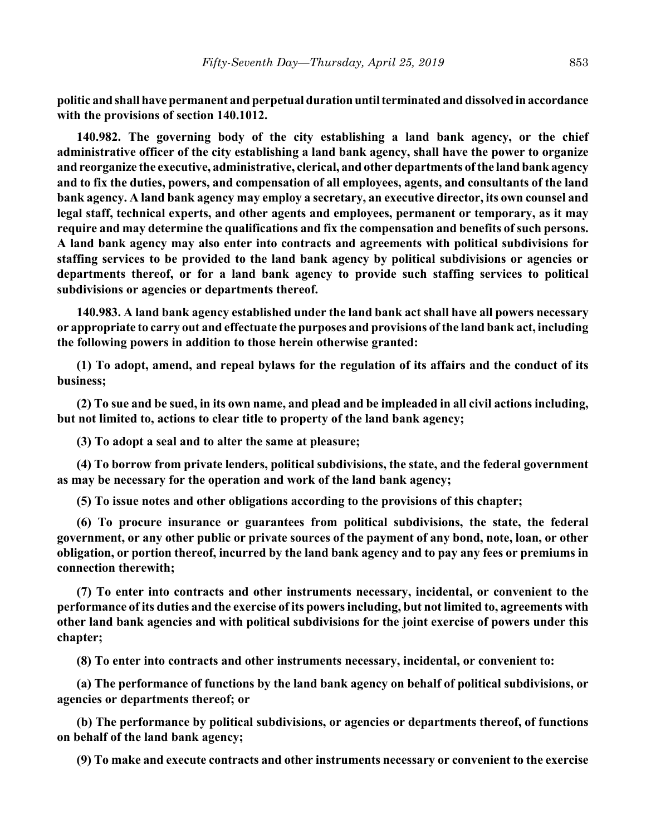**politic and shall have permanent and perpetual duration until terminated and dissolved in accordance with the provisions of section 140.1012.**

**140.982. The governing body of the city establishing a land bank agency, or the chief administrative officer of the city establishing a land bank agency, shall have the power to organize and reorganize the executive, administrative, clerical, and other departments of the land bank agency and to fix the duties, powers, and compensation of all employees, agents, and consultants of the land bank agency. A land bank agency may employ a secretary, an executive director, its own counsel and legal staff, technical experts, and other agents and employees, permanent or temporary, as it may require and may determine the qualifications and fix the compensation and benefits of such persons. A land bank agency may also enter into contracts and agreements with political subdivisions for staffing services to be provided to the land bank agency by political subdivisions or agencies or departments thereof, or for a land bank agency to provide such staffing services to political subdivisions or agencies or departments thereof.**

**140.983. A land bank agency established under the land bank act shall have all powers necessary or appropriate to carry out and effectuate the purposes and provisions of the land bank act, including the following powers in addition to those herein otherwise granted:**

**(1) To adopt, amend, and repeal bylaws for the regulation of its affairs and the conduct of its business;**

**(2) To sue and be sued, in its own name, and plead and be impleaded in all civil actions including, but not limited to, actions to clear title to property of the land bank agency;**

**(3) To adopt a seal and to alter the same at pleasure;**

**(4) To borrow from private lenders, political subdivisions, the state, and the federal government as may be necessary for the operation and work of the land bank agency;**

**(5) To issue notes and other obligations according to the provisions of this chapter;**

**(6) To procure insurance or guarantees from political subdivisions, the state, the federal government, or any other public or private sources of the payment of any bond, note, loan, or other obligation, or portion thereof, incurred by the land bank agency and to pay any fees or premiums in connection therewith;**

**(7) To enter into contracts and other instruments necessary, incidental, or convenient to the performance of its duties and the exercise of its powers including, but not limited to, agreements with other land bank agencies and with political subdivisions for the joint exercise of powers under this chapter;**

**(8) To enter into contracts and other instruments necessary, incidental, or convenient to:**

**(a) The performance of functions by the land bank agency on behalf of political subdivisions, or agencies or departments thereof; or**

**(b) The performance by political subdivisions, or agencies or departments thereof, of functions on behalf of the land bank agency;**

**(9) To make and execute contracts and other instruments necessary or convenient to the exercise**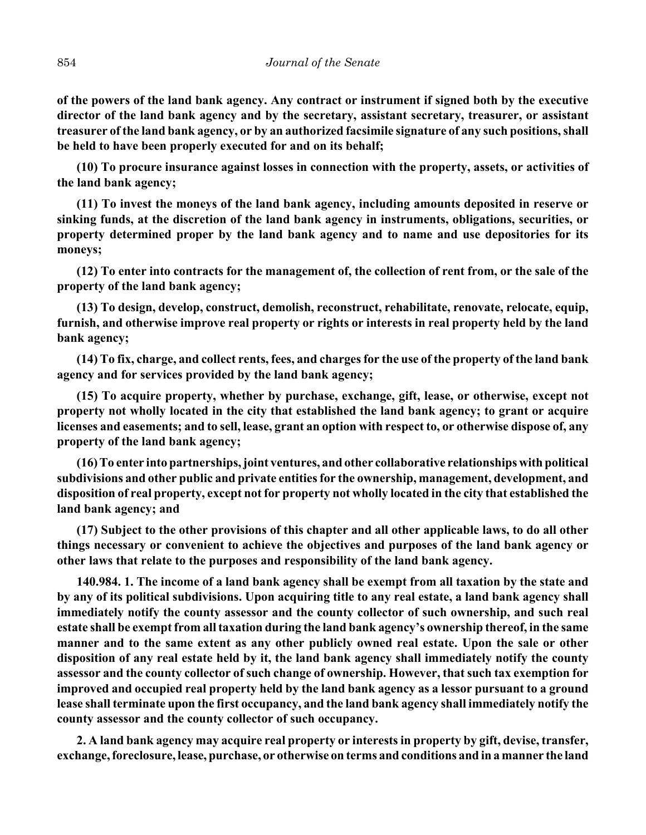**of the powers of the land bank agency. Any contract or instrument if signed both by the executive director of the land bank agency and by the secretary, assistant secretary, treasurer, or assistant treasurer of the land bank agency, or by an authorized facsimile signature of any such positions, shall be held to have been properly executed for and on its behalf;**

**(10) To procure insurance against losses in connection with the property, assets, or activities of the land bank agency;**

**(11) To invest the moneys of the land bank agency, including amounts deposited in reserve or sinking funds, at the discretion of the land bank agency in instruments, obligations, securities, or property determined proper by the land bank agency and to name and use depositories for its moneys;**

**(12) To enter into contracts for the management of, the collection of rent from, or the sale of the property of the land bank agency;**

**(13) To design, develop, construct, demolish, reconstruct, rehabilitate, renovate, relocate, equip, furnish, and otherwise improve real property or rights or interests in real property held by the land bank agency;**

**(14) To fix, charge, and collect rents, fees, and charges for the use of the property of the land bank agency and for services provided by the land bank agency;**

**(15) To acquire property, whether by purchase, exchange, gift, lease, or otherwise, except not property not wholly located in the city that established the land bank agency; to grant or acquire licenses and easements; and to sell, lease, grant an option with respect to, or otherwise dispose of, any property of the land bank agency;**

**(16) To enter into partnerships, joint ventures, and other collaborative relationships with political subdivisions and other public and private entities for the ownership, management, development, and disposition of real property, except not for property not wholly located in the city that established the land bank agency; and**

**(17) Subject to the other provisions of this chapter and all other applicable laws, to do all other things necessary or convenient to achieve the objectives and purposes of the land bank agency or other laws that relate to the purposes and responsibility of the land bank agency.**

**140.984. 1. The income of a land bank agency shall be exempt from all taxation by the state and by any of its political subdivisions. Upon acquiring title to any real estate, a land bank agency shall immediately notify the county assessor and the county collector of such ownership, and such real estate shall be exempt from all taxation during the land bank agency's ownership thereof, in the same manner and to the same extent as any other publicly owned real estate. Upon the sale or other disposition of any real estate held by it, the land bank agency shall immediately notify the county assessor and the county collector of such change of ownership. However, that such tax exemption for improved and occupied real property held by the land bank agency as a lessor pursuant to a ground lease shall terminate upon the first occupancy, and the land bank agency shall immediately notify the county assessor and the county collector of such occupancy.**

**2. A land bank agency may acquire real property or interests in property by gift, devise, transfer, exchange, foreclosure, lease, purchase, or otherwise on terms and conditions and in a manner the land**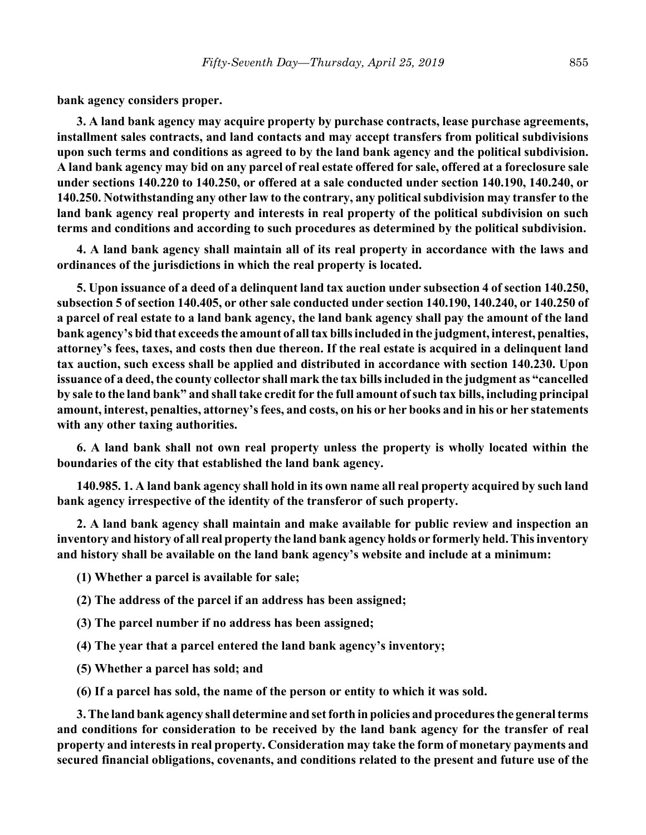**bank agency considers proper.**

**3. A land bank agency may acquire property by purchase contracts, lease purchase agreements, installment sales contracts, and land contacts and may accept transfers from political subdivisions upon such terms and conditions as agreed to by the land bank agency and the political subdivision. A land bank agency may bid on any parcel of real estate offered for sale, offered at a foreclosure sale under sections 140.220 to 140.250, or offered at a sale conducted under section 140.190, 140.240, or 140.250. Notwithstanding any other law to the contrary, any political subdivision may transfer to the land bank agency real property and interests in real property of the political subdivision on such terms and conditions and according to such procedures as determined by the political subdivision.**

**4. A land bank agency shall maintain all of its real property in accordance with the laws and ordinances of the jurisdictions in which the real property is located.**

**5. Upon issuance of a deed of a delinquent land tax auction under subsection 4 of section 140.250, subsection 5 of section 140.405, or other sale conducted under section 140.190, 140.240, or 140.250 of a parcel of real estate to a land bank agency, the land bank agency shall pay the amount of the land bank agency's bid that exceeds the amount of all tax bills included in the judgment, interest, penalties, attorney's fees, taxes, and costs then due thereon. If the real estate is acquired in a delinquent land tax auction, such excess shall be applied and distributed in accordance with section 140.230. Upon issuance of a deed, the county collector shall mark the tax bills included in the judgment as "cancelled by sale to the land bank" and shall take credit for the full amount of such tax bills, including principal amount, interest, penalties, attorney's fees, and costs, on his or her books and in his or her statements with any other taxing authorities.**

**6. A land bank shall not own real property unless the property is wholly located within the boundaries of the city that established the land bank agency.**

**140.985. 1. A land bank agency shall hold in its own name all real property acquired by such land bank agency irrespective of the identity of the transferor of such property.**

**2. A land bank agency shall maintain and make available for public review and inspection an inventory and history of all real property the land bank agency holds or formerly held. This inventory and history shall be available on the land bank agency's website and include at a minimum:**

**(1) Whether a parcel is available for sale;**

**(2) The address of the parcel if an address has been assigned;**

- **(3) The parcel number if no address has been assigned;**
- **(4) The year that a parcel entered the land bank agency's inventory;**
- **(5) Whether a parcel has sold; and**
- **(6) If a parcel has sold, the name of the person or entity to which it was sold.**

**3. The land bank agency shall determine and set forth in policies and procedures the general terms and conditions for consideration to be received by the land bank agency for the transfer of real property and interests in real property. Consideration may take the form of monetary payments and secured financial obligations, covenants, and conditions related to the present and future use of the**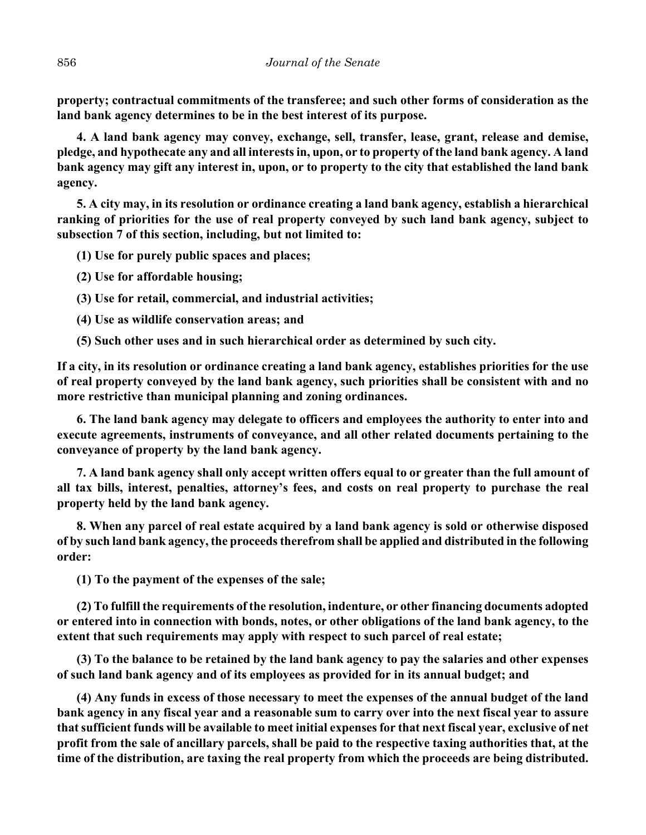**property; contractual commitments of the transferee; and such other forms of consideration as the land bank agency determines to be in the best interest of its purpose.**

**4. A land bank agency may convey, exchange, sell, transfer, lease, grant, release and demise, pledge, and hypothecate any and all interests in, upon, or to property of the land bank agency. A land bank agency may gift any interest in, upon, or to property to the city that established the land bank agency.**

**5. A city may, in its resolution or ordinance creating a land bank agency, establish a hierarchical ranking of priorities for the use of real property conveyed by such land bank agency, subject to subsection 7 of this section, including, but not limited to:**

**(1) Use for purely public spaces and places;**

**(2) Use for affordable housing;**

**(3) Use for retail, commercial, and industrial activities;**

**(4) Use as wildlife conservation areas; and**

**(5) Such other uses and in such hierarchical order as determined by such city.**

**If a city, in its resolution or ordinance creating a land bank agency, establishes priorities for the use of real property conveyed by the land bank agency, such priorities shall be consistent with and no more restrictive than municipal planning and zoning ordinances.**

**6. The land bank agency may delegate to officers and employees the authority to enter into and execute agreements, instruments of conveyance, and all other related documents pertaining to the conveyance of property by the land bank agency.**

**7. A land bank agency shall only accept written offers equal to or greater than the full amount of all tax bills, interest, penalties, attorney's fees, and costs on real property to purchase the real property held by the land bank agency.**

**8. When any parcel of real estate acquired by a land bank agency is sold or otherwise disposed of by such land bank agency, the proceeds therefrom shall be applied and distributed in the following order:**

**(1) To the payment of the expenses of the sale;**

**(2) To fulfill the requirements of the resolution, indenture, or other financing documents adopted or entered into in connection with bonds, notes, or other obligations of the land bank agency, to the extent that such requirements may apply with respect to such parcel of real estate;**

**(3) To the balance to be retained by the land bank agency to pay the salaries and other expenses of such land bank agency and of its employees as provided for in its annual budget; and**

**(4) Any funds in excess of those necessary to meet the expenses of the annual budget of the land bank agency in any fiscal year and a reasonable sum to carry over into the next fiscal year to assure that sufficient funds will be available to meet initial expenses for that next fiscal year, exclusive of net profit from the sale of ancillary parcels, shall be paid to the respective taxing authorities that, at the time of the distribution, are taxing the real property from which the proceeds are being distributed.**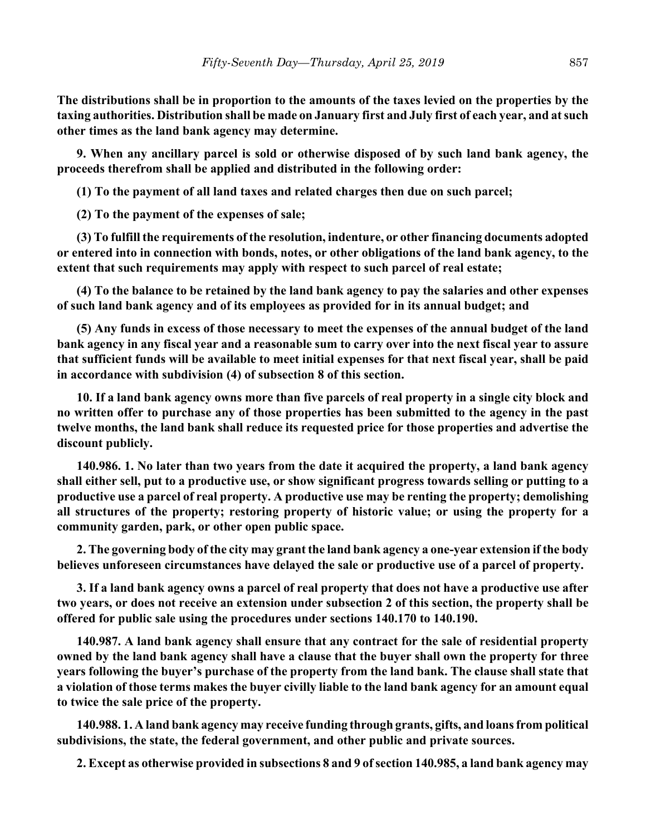**The distributions shall be in proportion to the amounts of the taxes levied on the properties by the taxing authorities. Distribution shall be made on January first and July first of each year, and at such other times as the land bank agency may determine.**

**9. When any ancillary parcel is sold or otherwise disposed of by such land bank agency, the proceeds therefrom shall be applied and distributed in the following order:**

**(1) To the payment of all land taxes and related charges then due on such parcel;**

**(2) To the payment of the expenses of sale;**

**(3) To fulfill the requirements of the resolution, indenture, or other financing documents adopted or entered into in connection with bonds, notes, or other obligations of the land bank agency, to the extent that such requirements may apply with respect to such parcel of real estate;**

**(4) To the balance to be retained by the land bank agency to pay the salaries and other expenses of such land bank agency and of its employees as provided for in its annual budget; and**

**(5) Any funds in excess of those necessary to meet the expenses of the annual budget of the land bank agency in any fiscal year and a reasonable sum to carry over into the next fiscal year to assure that sufficient funds will be available to meet initial expenses for that next fiscal year, shall be paid in accordance with subdivision (4) of subsection 8 of this section.**

**10. If a land bank agency owns more than five parcels of real property in a single city block and no written offer to purchase any of those properties has been submitted to the agency in the past twelve months, the land bank shall reduce its requested price for those properties and advertise the discount publicly.**

**140.986. 1. No later than two years from the date it acquired the property, a land bank agency shall either sell, put to a productive use, or show significant progress towards selling or putting to a productive use a parcel of real property. A productive use may be renting the property; demolishing all structures of the property; restoring property of historic value; or using the property for a community garden, park, or other open public space.**

**2. The governing body of the city may grant the land bank agency a one-year extension if the body believes unforeseen circumstances have delayed the sale or productive use of a parcel of property.**

**3. If a land bank agency owns a parcel of real property that does not have a productive use after two years, or does not receive an extension under subsection 2 of this section, the property shall be offered for public sale using the procedures under sections 140.170 to 140.190.**

**140.987. A land bank agency shall ensure that any contract for the sale of residential property owned by the land bank agency shall have a clause that the buyer shall own the property for three years following the buyer's purchase of the property from the land bank. The clause shall state that a violation of those terms makes the buyer civilly liable to the land bank agency for an amount equal to twice the sale price of the property.**

**140.988. 1. A land bank agency may receive funding through grants, gifts, and loans from political subdivisions, the state, the federal government, and other public and private sources.**

**2. Except as otherwise provided in subsections 8 and 9 of section 140.985, a land bank agency may**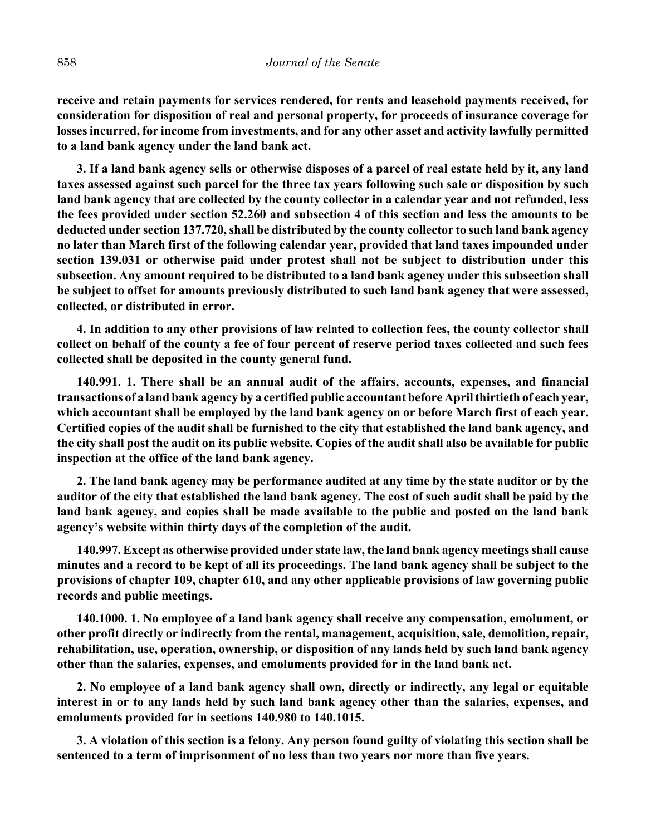**receive and retain payments for services rendered, for rents and leasehold payments received, for consideration for disposition of real and personal property, for proceeds of insurance coverage for losses incurred, for income from investments, and for any other asset and activity lawfully permitted to a land bank agency under the land bank act.**

**3. If a land bank agency sells or otherwise disposes of a parcel of real estate held by it, any land taxes assessed against such parcel for the three tax years following such sale or disposition by such land bank agency that are collected by the county collector in a calendar year and not refunded, less the fees provided under section 52.260 and subsection 4 of this section and less the amounts to be deducted under section 137.720, shall be distributed by the county collector to such land bank agency no later than March first of the following calendar year, provided that land taxes impounded under section 139.031 or otherwise paid under protest shall not be subject to distribution under this subsection. Any amount required to be distributed to a land bank agency under this subsection shall be subject to offset for amounts previously distributed to such land bank agency that were assessed, collected, or distributed in error.**

**4. In addition to any other provisions of law related to collection fees, the county collector shall collect on behalf of the county a fee of four percent of reserve period taxes collected and such fees collected shall be deposited in the county general fund.**

**140.991. 1. There shall be an annual audit of the affairs, accounts, expenses, and financial transactions of a land bank agency by a certified public accountant before April thirtieth of each year, which accountant shall be employed by the land bank agency on or before March first of each year. Certified copies of the audit shall be furnished to the city that established the land bank agency, and the city shall post the audit on its public website. Copies of the audit shall also be available for public inspection at the office of the land bank agency.**

**2. The land bank agency may be performance audited at any time by the state auditor or by the auditor of the city that established the land bank agency. The cost of such audit shall be paid by the land bank agency, and copies shall be made available to the public and posted on the land bank agency's website within thirty days of the completion of the audit.**

**140.997. Except as otherwise provided under state law, the land bank agency meetings shall cause minutes and a record to be kept of all its proceedings. The land bank agency shall be subject to the provisions of chapter 109, chapter 610, and any other applicable provisions of law governing public records and public meetings.**

**140.1000. 1. No employee of a land bank agency shall receive any compensation, emolument, or other profit directly or indirectly from the rental, management, acquisition, sale, demolition, repair, rehabilitation, use, operation, ownership, or disposition of any lands held by such land bank agency other than the salaries, expenses, and emoluments provided for in the land bank act.**

**2. No employee of a land bank agency shall own, directly or indirectly, any legal or equitable interest in or to any lands held by such land bank agency other than the salaries, expenses, and emoluments provided for in sections 140.980 to 140.1015.**

**3. A violation of this section is a felony. Any person found guilty of violating this section shall be sentenced to a term of imprisonment of no less than two years nor more than five years.**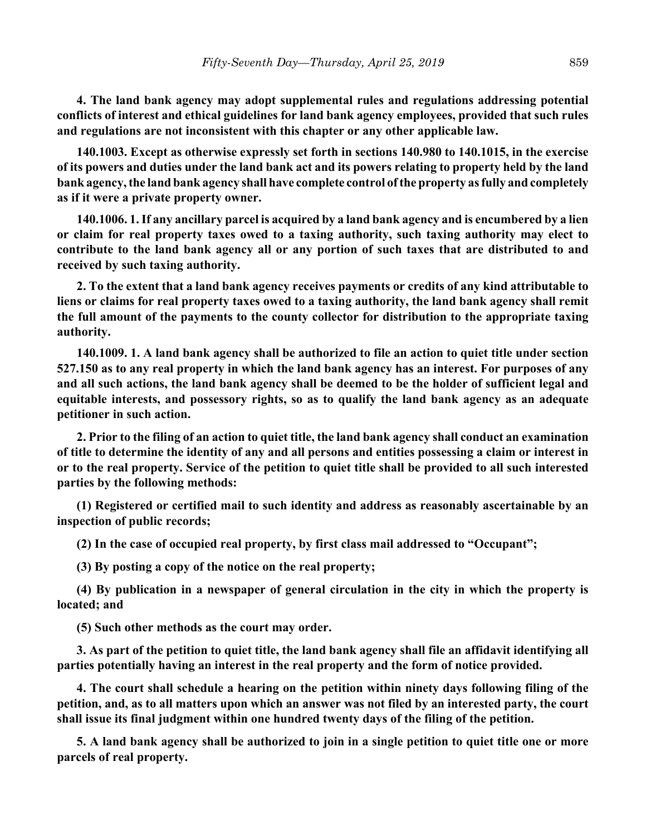**4. The land bank agency may adopt supplemental rules and regulations addressing potential conflicts of interest and ethical guidelines for land bank agency employees, provided that such rules and regulations are not inconsistent with this chapter or any other applicable law.**

**140.1003. Except as otherwise expressly set forth in sections 140.980 to 140.1015, in the exercise of its powers and duties under the land bank act and its powers relating to property held by the land bank agency, the land bank agency shall have complete control of the property as fully and completely as if it were a private property owner.**

**140.1006. 1. If any ancillary parcel is acquired by a land bank agency and is encumbered by a lien or claim for real property taxes owed to a taxing authority, such taxing authority may elect to contribute to the land bank agency all or any portion of such taxes that are distributed to and received by such taxing authority.**

**2. To the extent that a land bank agency receives payments or credits of any kind attributable to liens or claims for real property taxes owed to a taxing authority, the land bank agency shall remit the full amount of the payments to the county collector for distribution to the appropriate taxing authority.**

**140.1009. 1. A land bank agency shall be authorized to file an action to quiet title under section 527.150 as to any real property in which the land bank agency has an interest. For purposes of any and all such actions, the land bank agency shall be deemed to be the holder of sufficient legal and equitable interests, and possessory rights, so as to qualify the land bank agency as an adequate petitioner in such action.**

**2. Prior to the filing of an action to quiet title, the land bank agency shall conduct an examination of title to determine the identity of any and all persons and entities possessing a claim or interest in or to the real property. Service of the petition to quiet title shall be provided to all such interested parties by the following methods:**

**(1) Registered or certified mail to such identity and address as reasonably ascertainable by an inspection of public records;**

**(2) In the case of occupied real property, by first class mail addressed to "Occupant";**

**(3) By posting a copy of the notice on the real property;**

**(4) By publication in a newspaper of general circulation in the city in which the property is located; and**

**(5) Such other methods as the court may order.**

**3. As part of the petition to quiet title, the land bank agency shall file an affidavit identifying all parties potentially having an interest in the real property and the form of notice provided.**

**4. The court shall schedule a hearing on the petition within ninety days following filing of the petition, and, as to all matters upon which an answer was not filed by an interested party, the court shall issue its final judgment within one hundred twenty days of the filing of the petition.**

**5. A land bank agency shall be authorized to join in a single petition to quiet title one or more parcels of real property.**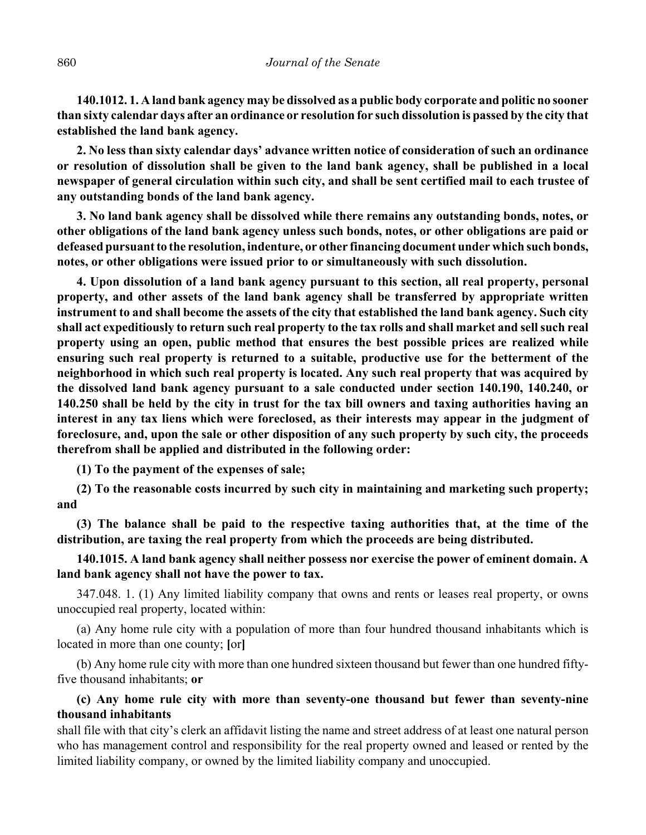**140.1012. 1. A land bank agency may be dissolved as a public body corporate and politic no sooner than sixty calendar days after an ordinance or resolution for such dissolution is passed by the city that established the land bank agency.**

**2. No less than sixty calendar days' advance written notice of consideration of such an ordinance or resolution of dissolution shall be given to the land bank agency, shall be published in a local newspaper of general circulation within such city, and shall be sent certified mail to each trustee of any outstanding bonds of the land bank agency.**

**3. No land bank agency shall be dissolved while there remains any outstanding bonds, notes, or other obligations of the land bank agency unless such bonds, notes, or other obligations are paid or defeased pursuant to the resolution, indenture, or other financing document under which such bonds, notes, or other obligations were issued prior to or simultaneously with such dissolution.**

**4. Upon dissolution of a land bank agency pursuant to this section, all real property, personal property, and other assets of the land bank agency shall be transferred by appropriate written instrument to and shall become the assets of the city that established the land bank agency. Such city shall act expeditiously to return such real property to the tax rolls and shall market and sell such real property using an open, public method that ensures the best possible prices are realized while ensuring such real property is returned to a suitable, productive use for the betterment of the neighborhood in which such real property is located. Any such real property that was acquired by the dissolved land bank agency pursuant to a sale conducted under section 140.190, 140.240, or 140.250 shall be held by the city in trust for the tax bill owners and taxing authorities having an interest in any tax liens which were foreclosed, as their interests may appear in the judgment of foreclosure, and, upon the sale or other disposition of any such property by such city, the proceeds therefrom shall be applied and distributed in the following order:**

**(1) To the payment of the expenses of sale;**

**(2) To the reasonable costs incurred by such city in maintaining and marketing such property; and**

**(3) The balance shall be paid to the respective taxing authorities that, at the time of the distribution, are taxing the real property from which the proceeds are being distributed.**

**140.1015. A land bank agency shall neither possess nor exercise the power of eminent domain. A land bank agency shall not have the power to tax.**

347.048. 1. (1) Any limited liability company that owns and rents or leases real property, or owns unoccupied real property, located within:

(a) Any home rule city with a population of more than four hundred thousand inhabitants which is located in more than one county; **[**or**]**

(b) Any home rule city with more than one hundred sixteen thousand but fewer than one hundred fiftyfive thousand inhabitants; **or**

# **(c) Any home rule city with more than seventy-one thousand but fewer than seventy-nine thousand inhabitants**

shall file with that city's clerk an affidavit listing the name and street address of at least one natural person who has management control and responsibility for the real property owned and leased or rented by the limited liability company, or owned by the limited liability company and unoccupied.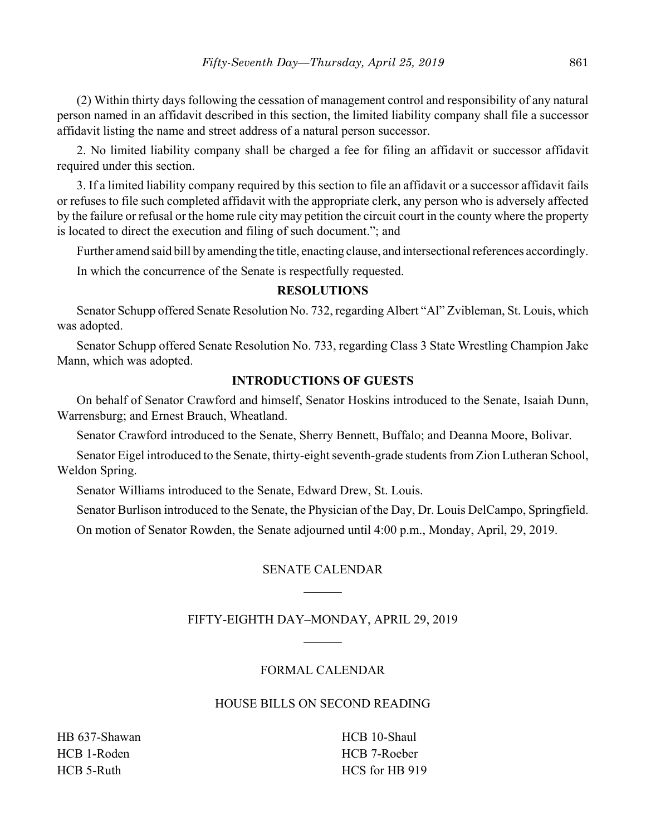(2) Within thirty days following the cessation of management control and responsibility of any natural person named in an affidavit described in this section, the limited liability company shall file a successor affidavit listing the name and street address of a natural person successor.

2. No limited liability company shall be charged a fee for filing an affidavit or successor affidavit required under this section.

3. If a limited liability company required by this section to file an affidavit or a successor affidavit fails or refuses to file such completed affidavit with the appropriate clerk, any person who is adversely affected by the failure or refusal or the home rule city may petition the circuit court in the county where the property is located to direct the execution and filing of such document."; and

Further amend said bill by amending the title, enacting clause, and intersectional references accordingly.

In which the concurrence of the Senate is respectfully requested.

## **RESOLUTIONS**

Senator Schupp offered Senate Resolution No. 732, regarding Albert "Al" Zvibleman, St. Louis, which was adopted.

Senator Schupp offered Senate Resolution No. 733, regarding Class 3 State Wrestling Champion Jake Mann, which was adopted.

# **INTRODUCTIONS OF GUESTS**

On behalf of Senator Crawford and himself, Senator Hoskins introduced to the Senate, Isaiah Dunn, Warrensburg; and Ernest Brauch, Wheatland.

Senator Crawford introduced to the Senate, Sherry Bennett, Buffalo; and Deanna Moore, Bolivar.

Senator Eigel introduced to the Senate, thirty-eight seventh-grade students from Zion Lutheran School, Weldon Spring.

Senator Williams introduced to the Senate, Edward Drew, St. Louis.

Senator Burlison introduced to the Senate, the Physician of the Day, Dr. Louis DelCampo, Springfield.

On motion of Senator Rowden, the Senate adjourned until 4:00 p.m., Monday, April, 29, 2019.

# SENATE CALENDAR

# FIFTY-EIGHTH DAY–MONDAY, APRIL 29, 2019

# FORMAL CALENDAR

# HOUSE BILLS ON SECOND READING

HB 637-Shawan HCB 1-Roden HCB 5-Ruth

HCB 10-Shaul HCB 7-Roeber HCS for HB 919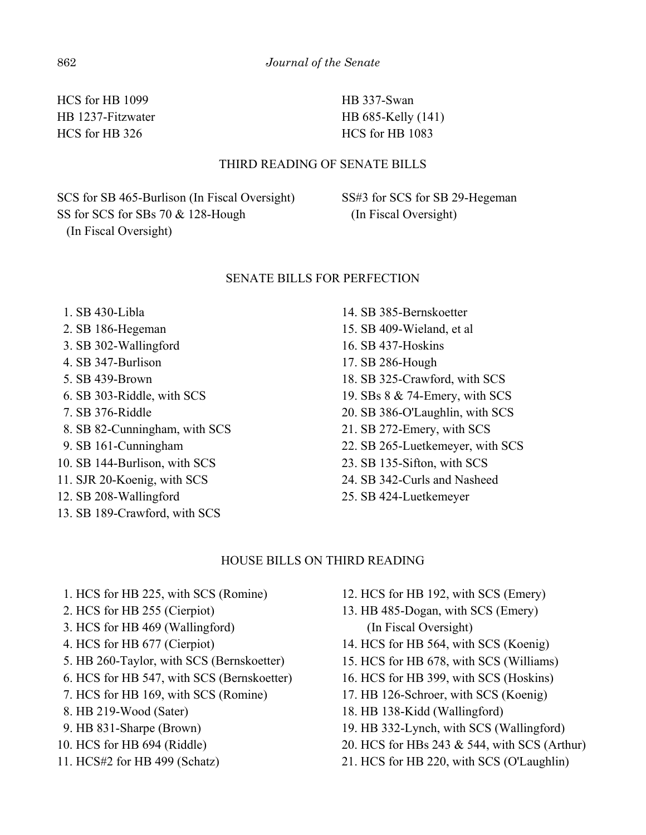HCS for HB 1099 HB 1237-Fitzwater HCS for HB 326

HB 337-Swan HB 685-Kelly (141) HCS for HB 1083

## THIRD READING OF SENATE BILLS

SCS for SB 465-Burlison (In Fiscal Oversight) SS for SCS for SBs 70 & 128-Hough (In Fiscal Oversight)

SS#3 for SCS for SB 29-Hegeman (In Fiscal Oversight)

#### SENATE BILLS FOR PERFECTION

- 1. SB 430-Libla
- 2. SB 186-Hegeman
- 3. SB 302-Wallingford
- 4. SB 347-Burlison
- 5. SB 439-Brown
- 6. SB 303-Riddle, with SCS
- 7. SB 376-Riddle
- 8. SB 82-Cunningham, with SCS
- 9. SB 161-Cunningham
- 10. SB 144-Burlison, with SCS
- 11. SJR 20-Koenig, with SCS
- 12. SB 208-Wallingford
- 13. SB 189-Crawford, with SCS
- 14. SB 385-Bernskoetter 15. SB 409-Wieland, et al 16. SB 437-Hoskins 17. SB 286-Hough 18. SB 325-Crawford, with SCS 19. SBs 8 & 74-Emery, with SCS 20. SB 386-O'Laughlin, with SCS 21. SB 272-Emery, with SCS 22. SB 265-Luetkemeyer, with SCS 23. SB 135-Sifton, with SCS 24. SB 342-Curls and Nasheed
- 25. SB 424-Luetkemeyer

#### HOUSE BILLS ON THIRD READING

- 1. HCS for HB 225, with SCS (Romine)
- 2. HCS for HB 255 (Cierpiot)
- 3. HCS for HB 469 (Wallingford)
- 4. HCS for HB 677 (Cierpiot)
- 5. HB 260-Taylor, with SCS (Bernskoetter)
- 6. HCS for HB 547, with SCS (Bernskoetter)
- 7. HCS for HB 169, with SCS (Romine)
- 8. HB 219-Wood (Sater)
- 9. HB 831-Sharpe (Brown)
- 10. HCS for HB 694 (Riddle)
- 11. HCS#2 for HB 499 (Schatz)
- 12. HCS for HB 192, with SCS (Emery)
- 13. HB 485-Dogan, with SCS (Emery) (In Fiscal Oversight)
- 14. HCS for HB 564, with SCS (Koenig)
- 15. HCS for HB 678, with SCS (Williams)
- 16. HCS for HB 399, with SCS (Hoskins)
- 17. HB 126-Schroer, with SCS (Koenig)
- 18. HB 138-Kidd (Wallingford)
- 19. HB 332-Lynch, with SCS (Wallingford)
- 20. HCS for HBs 243 & 544, with SCS (Arthur)
- 21. HCS for HB 220, with SCS (O'Laughlin)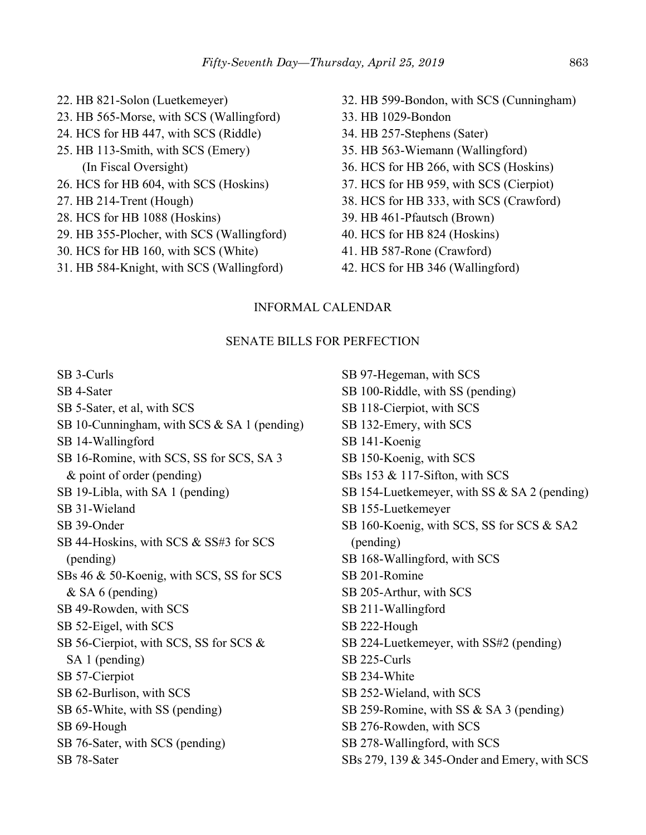- 22. HB 821-Solon (Luetkemeyer) 23. HB 565-Morse, with SCS (Wallingford) 24. HCS for HB 447, with SCS (Riddle) 25. HB 113-Smith, with SCS (Emery) (In Fiscal Oversight) 26. HCS for HB 604, with SCS (Hoskins) 27. HB 214-Trent (Hough) 28. HCS for HB 1088 (Hoskins) 29. HB 355-Plocher, with SCS (Wallingford) 30. HCS for HB 160, with SCS (White)
- 31. HB 584-Knight, with SCS (Wallingford)
- 32. HB 599-Bondon, with SCS (Cunningham)
- 33. HB 1029-Bondon
- 34. HB 257-Stephens (Sater)
- 35. HB 563-Wiemann (Wallingford)
- 36. HCS for HB 266, with SCS (Hoskins)
- 37. HCS for HB 959, with SCS (Cierpiot)
- 38. HCS for HB 333, with SCS (Crawford)
- 39. HB 461-Pfautsch (Brown)
- 40. HCS for HB 824 (Hoskins)
- 41. HB 587-Rone (Crawford)
- 42. HCS for HB 346 (Wallingford)

## INFORMAL CALENDAR

#### SENATE BILLS FOR PERFECTION

SB 3-Curls SB 4-Sater SB 5-Sater, et al, with SCS SB 10-Cunningham, with SCS & SA 1 (pending) SB 14-Wallingford SB 16-Romine, with SCS, SS for SCS, SA 3 & point of order (pending) SB 19-Libla, with SA 1 (pending) SB 31-Wieland SB 39-Onder SB 44-Hoskins, with SCS & SS#3 for SCS (pending) SBs 46 & 50-Koenig, with SCS, SS for SCS & SA 6 (pending) SB 49-Rowden, with SCS SB 52-Eigel, with SCS SB 56-Cierpiot, with SCS, SS for SCS & SA 1 (pending) SB 57-Cierpiot SB 62-Burlison, with SCS SB 65-White, with SS (pending) SB 69-Hough SB 76-Sater, with SCS (pending) SB 78-Sater

SB 97-Hegeman, with SCS SB 100-Riddle, with SS (pending) SB 118-Cierpiot, with SCS SB 132-Emery, with SCS SB 141-Koenig SB 150-Koenig, with SCS SBs 153 & 117-Sifton, with SCS SB 154-Luetkemeyer, with SS & SA 2 (pending) SB 155-Luetkemeyer SB 160-Koenig, with SCS, SS for SCS & SA2 (pending) SB 168-Wallingford, with SCS SB 201-Romine SB 205-Arthur, with SCS SB 211-Wallingford SB 222-Hough SB 224-Luetkemeyer, with SS#2 (pending) SB 225-Curls SB 234-White SB 252-Wieland, with SCS SB 259-Romine, with SS & SA 3 (pending) SB 276-Rowden, with SCS SB 278-Wallingford, with SCS SBs 279, 139 & 345-Onder and Emery, with SCS